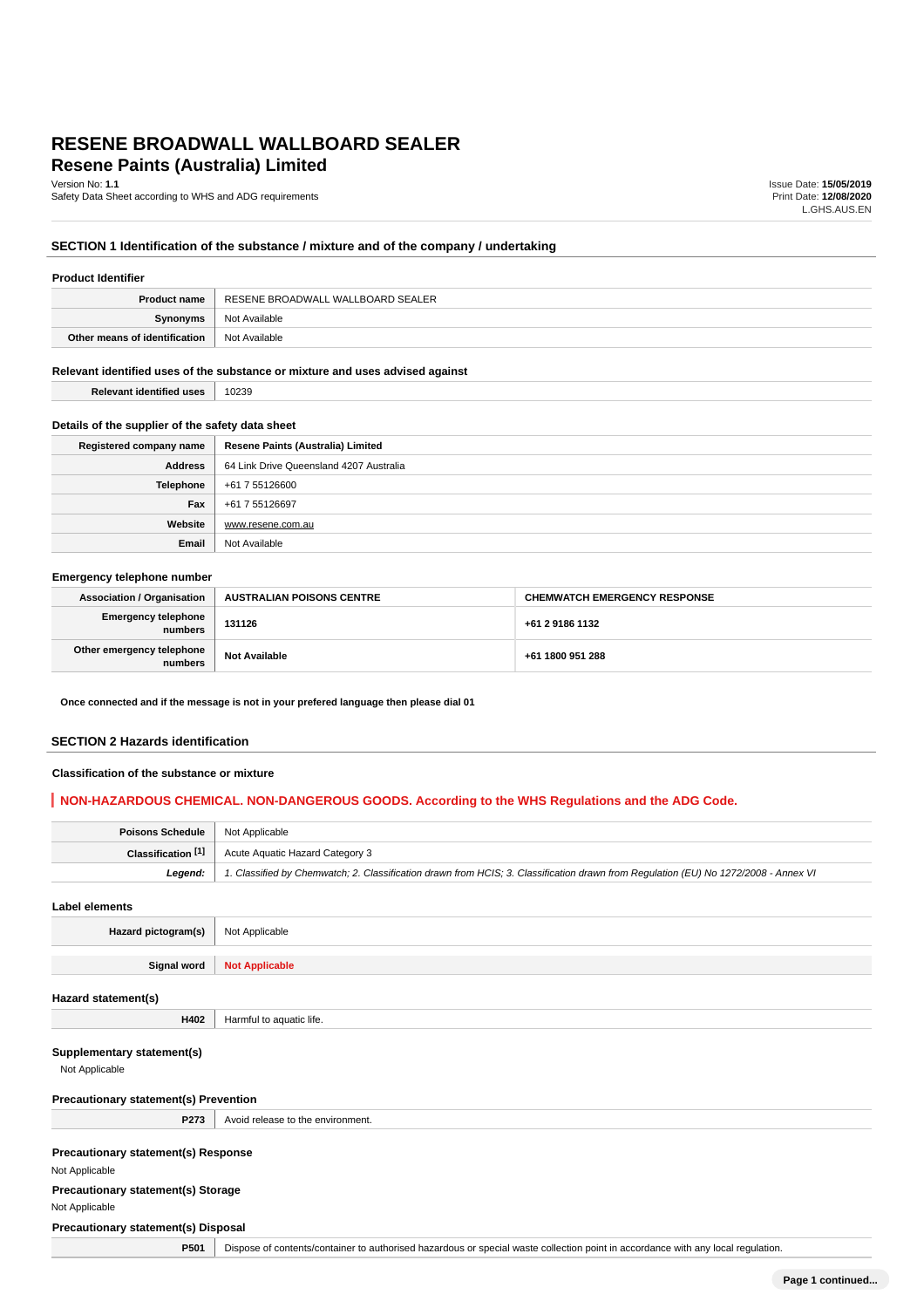# **Resene Paints (Australia) Limited RESENE BROADWALL WALLBOARD SEALER**

Version No: **1.1**

Safety Data Sheet according to WHS and ADG requirements

Issue Date: **15/05/2019** Print Date: **12/08/2020** L.GHS.AUS.EN

# **SECTION 1 Identification of the substance / mixture and of the company / undertaking**

| RESENE BROADWALL WALLBOARD SEALER<br><b>Product name</b> |  |
|----------------------------------------------------------|--|
|                                                          |  |
| Not Available<br>Synonyms                                |  |
| Other means of identification<br>Not Available           |  |

### **Relevant identified uses of the substance or mixture and uses advised against**

**Relevant identified uses** 10239

### **Details of the supplier of the safety data sheet**

| Registered company name | Resene Paints (Australia) Limited       |
|-------------------------|-----------------------------------------|
| <b>Address</b>          | 64 Link Drive Queensland 4207 Australia |
| Telephone               | +61 7 55126600                          |
| Fax                     | +61 7 55126697                          |
| Website                 | www.resene.com.au                       |
| Email                   | Not Available                           |

### **Emergency telephone number**

| <b>Association / Organisation</b>    | <b>AUSTRALIAN POISONS CENTRE</b> | <b>CHEMWATCH EMERGENCY RESPONSE</b> |
|--------------------------------------|----------------------------------|-------------------------------------|
| Emergency telephone<br>numbers       | 131126                           | +61 2 9186 1132                     |
| Other emergency telephone<br>numbers | <b>Not Available</b>             | +61 1800 951 288                    |

**Once connected and if the message is not in your prefered language then please dial 01**

#### **SECTION 2 Hazards identification**

### **Classification of the substance or mixture**

# **NON-HAZARDOUS CHEMICAL. NON-DANGEROUS GOODS. According to the WHS Regulations and the ADG Code.**

| <b>Poisons Schedule</b>   Not Applicable |                                                                                                                                     |
|------------------------------------------|-------------------------------------------------------------------------------------------------------------------------------------|
|                                          | <b>Classification [1]</b> Acute Aquatic Hazard Category 3                                                                           |
| Leaend:                                  | 1. Classified by Chemwatch; 2. Classification drawn from HCIS; 3. Classification drawn from Requlation (EU) No 1272/2008 - Annex VI |

| <b>Label elements</b>                        |                                                                                                                                  |  |
|----------------------------------------------|----------------------------------------------------------------------------------------------------------------------------------|--|
| Hazard pictogram(s)                          | Not Applicable                                                                                                                   |  |
| Signal word                                  | <b>Not Applicable</b>                                                                                                            |  |
| Hazard statement(s)                          |                                                                                                                                  |  |
| H402                                         | Harmful to aquatic life.                                                                                                         |  |
|                                              |                                                                                                                                  |  |
| Supplementary statement(s)                   |                                                                                                                                  |  |
| Not Applicable                               |                                                                                                                                  |  |
| <b>Precautionary statement(s) Prevention</b> |                                                                                                                                  |  |
| P273                                         | Avoid release to the environment.                                                                                                |  |
| <b>Precautionary statement(s) Response</b>   |                                                                                                                                  |  |
| Not Applicable                               |                                                                                                                                  |  |
| <b>Precautionary statement(s) Storage</b>    |                                                                                                                                  |  |
| Not Applicable                               |                                                                                                                                  |  |
| Precautionary statement(s) Disposal          |                                                                                                                                  |  |
| P501                                         | Dispose of contents/container to authorised hazardous or special waste collection point in accordance with any local regulation. |  |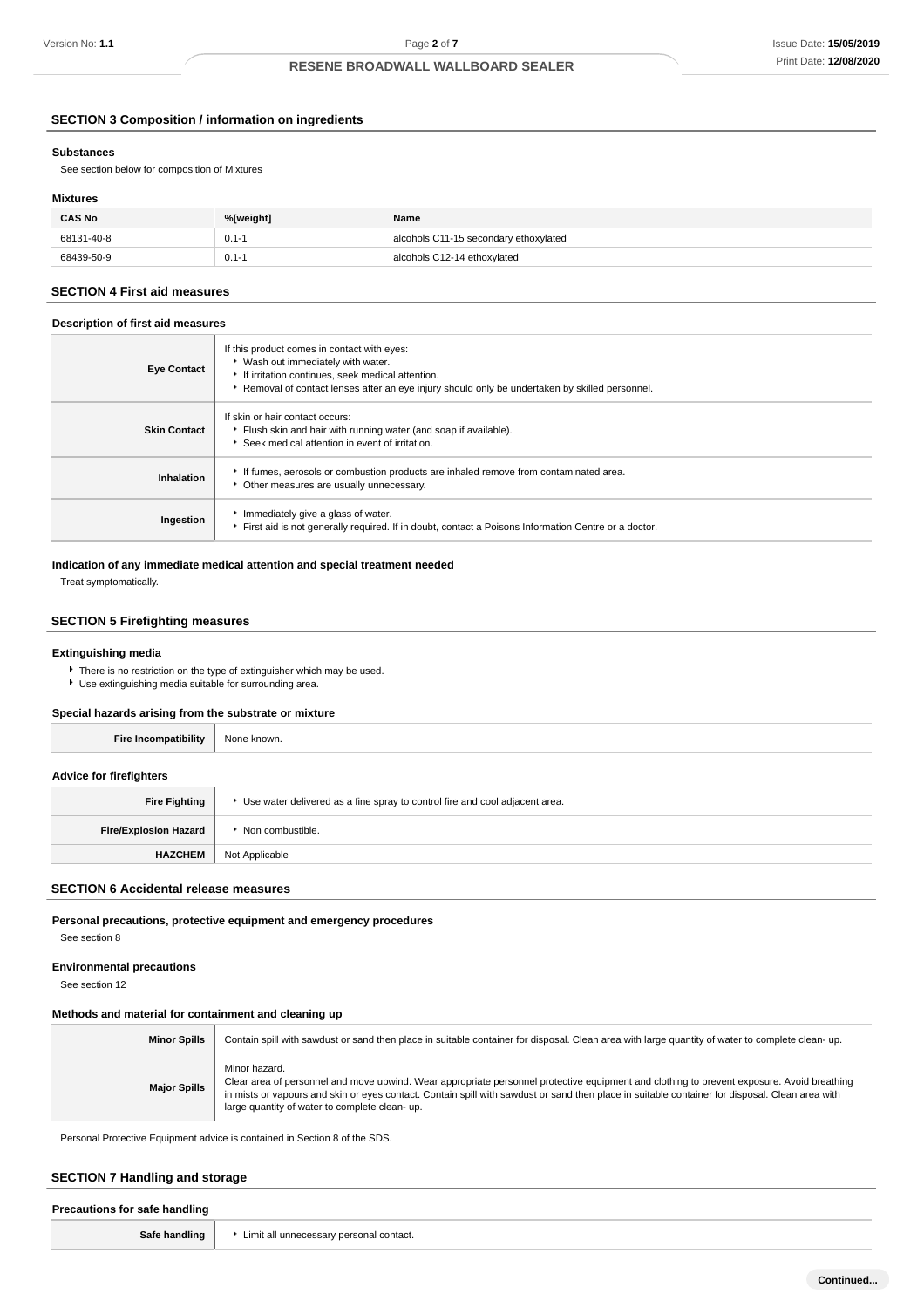### **SECTION 3 Composition / information on ingredients**

#### **Substances**

See section below for composition of Mixtures

#### **Mixtures**

| <b>CAS No</b> | %[weight] | Name                                  |
|---------------|-----------|---------------------------------------|
| 68131-40-8    | $0.1 - 1$ | alcohols C11-15 secondary ethoxylated |
| 68439-50-9    | $0.1 - 1$ | alcohols C12-14 ethoxylated           |

#### **SECTION 4 First aid measures**

### **Description of first aid measures**

| <b>Eye Contact</b>  | If this product comes in contact with eyes:<br>▶ Wash out immediately with water.<br>If irritation continues, seek medical attention.<br>Removal of contact lenses after an eye injury should only be undertaken by skilled personnel. |
|---------------------|----------------------------------------------------------------------------------------------------------------------------------------------------------------------------------------------------------------------------------------|
| <b>Skin Contact</b> | If skin or hair contact occurs:<br>Flush skin and hair with running water (and soap if available).<br>Seek medical attention in event of irritation.                                                                                   |
| Inhalation          | If fumes, aerosols or combustion products are inhaled remove from contaminated area.<br>Other measures are usually unnecessary.                                                                                                        |
| Ingestion           | Immediately give a glass of water.<br>First aid is not generally required. If in doubt, contact a Poisons Information Centre or a doctor.                                                                                              |

### **Indication of any immediate medical attention and special treatment needed**

Treat symptomatically.

### **SECTION 5 Firefighting measures**

### **Extinguishing media**

There is no restriction on the type of extinguisher which may be used.

Use extinguishing media suitable for surrounding area.

### **Special hazards arising from the substrate or mixture**

| <b>Fire Incompatibility</b>    | None known.                                                                   |
|--------------------------------|-------------------------------------------------------------------------------|
| <b>Advice for firefighters</b> |                                                                               |
| <b>Fire Fighting</b>           | ▶ Use water delivered as a fine spray to control fire and cool adjacent area. |
| <b>Fire/Explosion Hazard</b>   | ▶ Non combustible.                                                            |
| <b>HAZCHEM</b>                 | Not Applicable                                                                |

#### **SECTION 6 Accidental release measures**

**Personal precautions, protective equipment and emergency procedures** See section 8

#### **Environmental precautions**

See section 12

### **Methods and material for containment and cleaning up**

| <b>Minor Spills</b> | Contain spill with sawdust or sand then place in suitable container for disposal. Clean area with large quantity of water to complete clean-up.                                                                                                                                                                                                                 |
|---------------------|-----------------------------------------------------------------------------------------------------------------------------------------------------------------------------------------------------------------------------------------------------------------------------------------------------------------------------------------------------------------|
| <b>Major Spills</b> | Minor hazard.<br>Clear area of personnel and move upwind. Wear appropriate personnel protective equipment and clothing to prevent exposure. Avoid breathing<br>in mists or vapours and skin or eyes contact. Contain spill with sawdust or sand then place in suitable container for disposal. Clean area with<br>large quantity of water to complete clean-up. |

Personal Protective Equipment advice is contained in Section 8 of the SDS.

### **SECTION 7 Handling and storage**

| Precautions for safe handling |                                         |
|-------------------------------|-----------------------------------------|
| Safe handling                 | Limit all unnecessary personal contact. |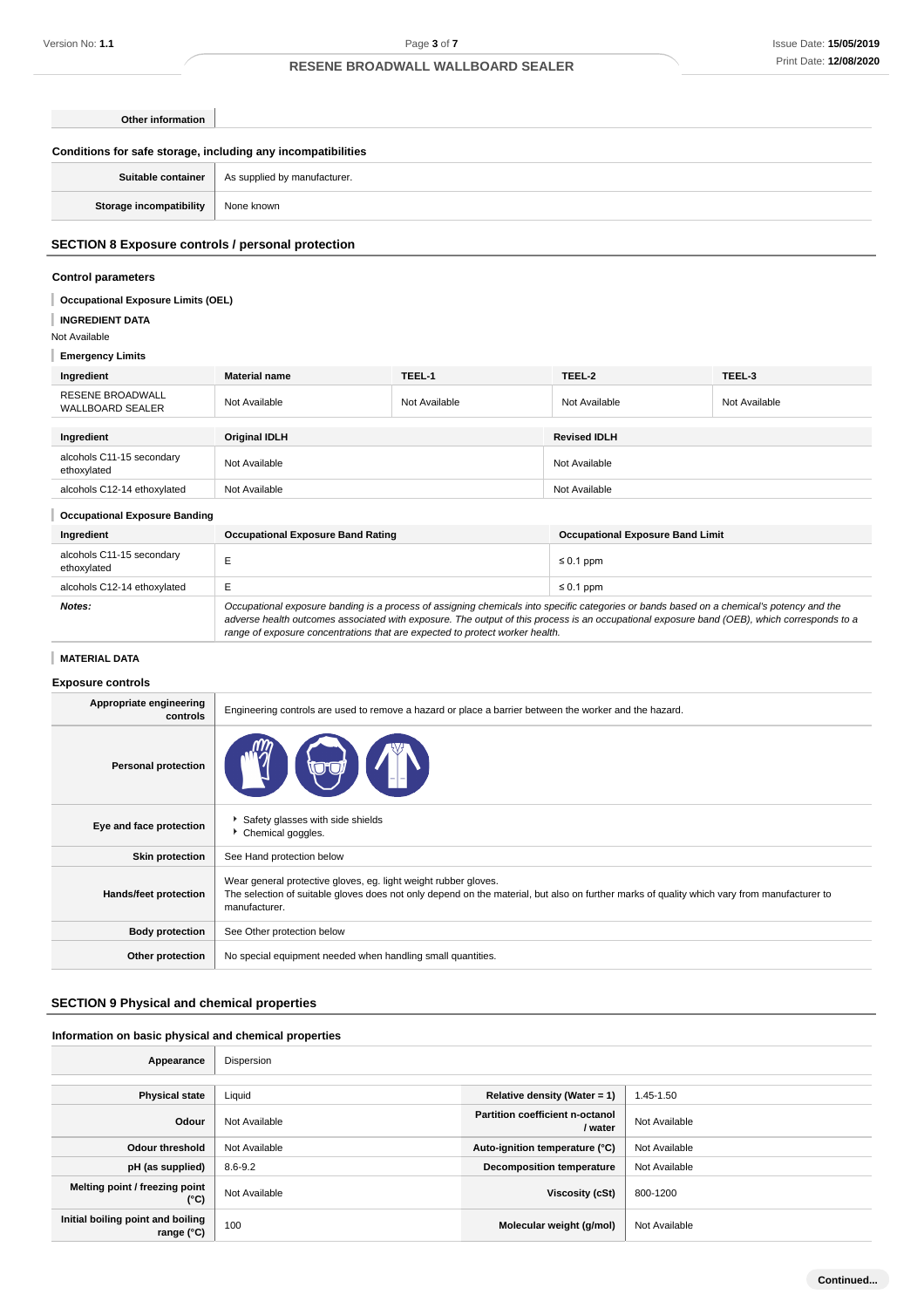### **Other information**

| Conditions for safe storage, including any incompatibilities |                                                   |  |  |
|--------------------------------------------------------------|---------------------------------------------------|--|--|
|                                                              | Suitable container   As supplied by manufacturer. |  |  |
| Storage incompatibility                                      | None known                                        |  |  |
|                                                              |                                                   |  |  |

### **SECTION 8 Exposure controls / personal protection**

# **Control parameters**

### **Occupational Exposure Limits (OEL)**

**INGREDIENT DATA**

Not Available

# **Emergency Limits**

| Ingredient                                         | <b>Material name</b> | TEEL-1        | TEEL-2              | TEEL-3        |
|----------------------------------------------------|----------------------|---------------|---------------------|---------------|
| <b>RESENE BROADWALL</b><br><b>WALLBOARD SEALER</b> | Not Available        | Not Available | Not Available       | Not Available |
|                                                    |                      |               |                     |               |
|                                                    | <b>Original IDLH</b> |               | <b>Revised IDLH</b> |               |
| Ingredient                                         |                      |               |                     |               |
| alcohols C11-15 secondary<br>ethoxylated           | Not Available        |               | Not Available       |               |

### **Occupational Exposure Banding**

| Occupational Exposure Banding            |                                                                                                                                                                                                                                                                                                                                                                          |                                         |  |
|------------------------------------------|--------------------------------------------------------------------------------------------------------------------------------------------------------------------------------------------------------------------------------------------------------------------------------------------------------------------------------------------------------------------------|-----------------------------------------|--|
| Ingredient                               | <b>Occupational Exposure Band Rating</b>                                                                                                                                                                                                                                                                                                                                 | <b>Occupational Exposure Band Limit</b> |  |
| alcohols C11-15 secondary<br>ethoxylated |                                                                                                                                                                                                                                                                                                                                                                          | $\leq 0.1$ ppm                          |  |
| alcohols C12-14 ethoxylated              |                                                                                                                                                                                                                                                                                                                                                                          | $\leq 0.1$ ppm                          |  |
| Notes:                                   | Occupational exposure banding is a process of assigning chemicals into specific categories or bands based on a chemical's potency and the<br>adverse health outcomes associated with exposure. The output of this process is an occupational exposure band (OEB), which corresponds to a<br>range of exposure concentrations that are expected to protect worker health. |                                         |  |

### **MATERIAL DATA**

### **Exposure controls**

| Appropriate engineering<br>controls | Engineering controls are used to remove a hazard or place a barrier between the worker and the hazard.                                                                                                                          |
|-------------------------------------|---------------------------------------------------------------------------------------------------------------------------------------------------------------------------------------------------------------------------------|
| <b>Personal protection</b>          |                                                                                                                                                                                                                                 |
| Eye and face protection             | Safety glasses with side shields<br>Chemical goggles.                                                                                                                                                                           |
| <b>Skin protection</b>              | See Hand protection below                                                                                                                                                                                                       |
| <b>Hands/feet protection</b>        | Wear general protective gloves, eg. light weight rubber gloves.<br>The selection of suitable gloves does not only depend on the material, but also on further marks of quality which vary from manufacturer to<br>manufacturer. |
| <b>Body protection</b>              | See Other protection below                                                                                                                                                                                                      |
| Other protection                    | No special equipment needed when handling small quantities.                                                                                                                                                                     |

### **SECTION 9 Physical and chemical properties**

#### **Information on basic physical and chemical properties**  $\overline{\phantom{a}}$

| Appearance                                      | Dispersion    |                                                   |               |
|-------------------------------------------------|---------------|---------------------------------------------------|---------------|
|                                                 |               |                                                   |               |
| <b>Physical state</b>                           | Liquid        | Relative density (Water = 1)                      | 1.45-1.50     |
| Odour                                           | Not Available | <b>Partition coefficient n-octanol</b><br>/ water | Not Available |
| <b>Odour threshold</b>                          | Not Available | Auto-ignition temperature (°C)                    | Not Available |
| pH (as supplied)                                | 8.6-9.2       | <b>Decomposition temperature</b>                  | Not Available |
| Melting point / freezing point<br>$(^{\circ}C)$ | Not Available | Viscosity (cSt)                                   | 800-1200      |
| Initial boiling point and boiling<br>range (°C) | 100           | Molecular weight (g/mol)                          | Not Available |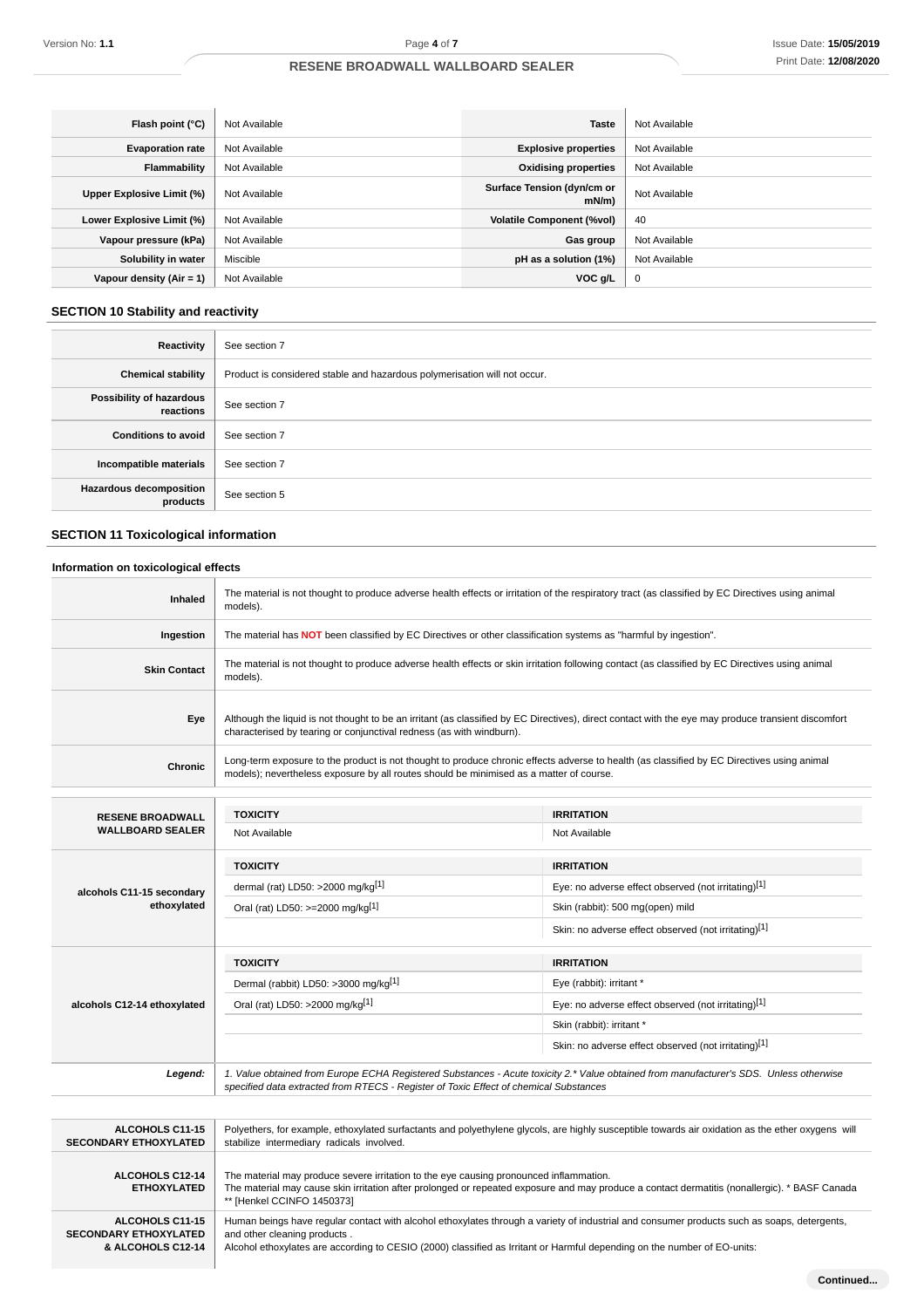| Flash point (°C)          | Not Available | <b>Taste</b>                           | Not Available |
|---------------------------|---------------|----------------------------------------|---------------|
| <b>Evaporation rate</b>   | Not Available | <b>Explosive properties</b>            | Not Available |
| <b>Flammability</b>       | Not Available | <b>Oxidising properties</b>            | Not Available |
| Upper Explosive Limit (%) | Not Available | Surface Tension (dyn/cm or<br>$mN/m$ ) | Not Available |
| Lower Explosive Limit (%) | Not Available | <b>Volatile Component (%vol)</b>       | 40            |
| Vapour pressure (kPa)     | Not Available | Gas group                              | Not Available |
| Solubility in water       | Miscible      | pH as a solution (1%)                  | Not Available |
| Vapour density (Air = 1)  | Not Available | VOC g/L                                | $\mathbf 0$   |

# **SECTION 10 Stability and reactivity**

| Reactivity                                 | See section 7                                                             |
|--------------------------------------------|---------------------------------------------------------------------------|
| <b>Chemical stability</b>                  | Product is considered stable and hazardous polymerisation will not occur. |
| Possibility of hazardous<br>reactions      | See section 7                                                             |
| <b>Conditions to avoid</b>                 | See section 7                                                             |
| Incompatible materials                     | See section 7                                                             |
| <b>Hazardous decomposition</b><br>products | See section 5                                                             |

# **SECTION 11 Toxicological information**

**Contract Contract** 

# **Information on toxicological effects**

| Inhaled                     | The material is not thought to produce adverse health effects or irritation of the respiratory tract (as classified by EC Directives using animal<br>models).                                                                         |                                                                                                                                                                                                                                     |  |
|-----------------------------|---------------------------------------------------------------------------------------------------------------------------------------------------------------------------------------------------------------------------------------|-------------------------------------------------------------------------------------------------------------------------------------------------------------------------------------------------------------------------------------|--|
| Ingestion                   | The material has <b>NOT</b> been classified by EC Directives or other classification systems as "harmful by ingestion".                                                                                                               |                                                                                                                                                                                                                                     |  |
| <b>Skin Contact</b>         | The material is not thought to produce adverse health effects or skin irritation following contact (as classified by EC Directives using animal<br>models).                                                                           |                                                                                                                                                                                                                                     |  |
| Eye                         | Although the liquid is not thought to be an irritant (as classified by EC Directives), direct contact with the eye may produce transient discomfort<br>characterised by tearing or conjunctival redness (as with windburn).           |                                                                                                                                                                                                                                     |  |
| Chronic                     | Long-term exposure to the product is not thought to produce chronic effects adverse to health (as classified by EC Directives using animal<br>models); nevertheless exposure by all routes should be minimised as a matter of course. |                                                                                                                                                                                                                                     |  |
| <b>RESENE BROADWALL</b>     | <b>TOXICITY</b>                                                                                                                                                                                                                       | <b>IRRITATION</b>                                                                                                                                                                                                                   |  |
| <b>WALLBOARD SEALER</b>     | Not Available                                                                                                                                                                                                                         | Not Available                                                                                                                                                                                                                       |  |
|                             | <b>TOXICITY</b>                                                                                                                                                                                                                       | <b>IRRITATION</b>                                                                                                                                                                                                                   |  |
| alcohols C11-15 secondary   | dermal (rat) LD50: >2000 mg/kg[1]                                                                                                                                                                                                     | Eye: no adverse effect observed (not irritating)[1]                                                                                                                                                                                 |  |
| ethoxylated                 | Oral (rat) LD50: >=2000 mg/kg[1]                                                                                                                                                                                                      | Skin (rabbit): 500 mg(open) mild                                                                                                                                                                                                    |  |
|                             |                                                                                                                                                                                                                                       | Skin: no adverse effect observed (not irritating)[1]                                                                                                                                                                                |  |
|                             | <b>TOXICITY</b>                                                                                                                                                                                                                       | <b>IRRITATION</b>                                                                                                                                                                                                                   |  |
|                             | Dermal (rabbit) LD50: >3000 mg/kg[1]                                                                                                                                                                                                  | Eye (rabbit): irritant *                                                                                                                                                                                                            |  |
| alcohols C12-14 ethoxylated | Oral (rat) LD50: >2000 mg/kg[1]                                                                                                                                                                                                       | Eye: no adverse effect observed (not irritating)[1]                                                                                                                                                                                 |  |
|                             |                                                                                                                                                                                                                                       | Skin (rabbit): irritant *                                                                                                                                                                                                           |  |
|                             |                                                                                                                                                                                                                                       | Skin: no adverse effect observed (not irritating)[1]                                                                                                                                                                                |  |
| Legend:                     | 1. Value obtained from Europe ECHA Registered Substances - Acute toxicity 2.* Value obtained from manufacturer's SDS. Unless otherwise<br>specified data extracted from RTECS - Register of Toxic Effect of chemical Substances       |                                                                                                                                                                                                                                     |  |
|                             |                                                                                                                                                                                                                                       |                                                                                                                                                                                                                                     |  |
|                             |                                                                                                                                                                                                                                       | <b>LOOKIAL ALLE LATER CONTRACT CONTRACT ACTIVITY CONTRACT CONTRACT CONTRACT CONTRACT CONTRACT CONTRACT CONTRACT CONTRACT CONTRACT CONTRACT CONTRACT CONTRACT CONTRACT CONTRACT CONTRACT CONTRACT CONTRACT CONTRACT CONTRACT CON</b> |  |

| <b>ALCOHOLS C11-15</b>                       | Polyethers, for example, ethoxylated surfactants and polyethylene glycols, are highly susceptible towards air oxidation as the ether oxygens will                                                                                                                     |
|----------------------------------------------|-----------------------------------------------------------------------------------------------------------------------------------------------------------------------------------------------------------------------------------------------------------------------|
| <b>SECONDARY ETHOXYLATED</b>                 | stabilize intermediary radicals involved.                                                                                                                                                                                                                             |
| <b>ALCOHOLS C12-14</b><br><b>ETHOXYLATED</b> | The material may produce severe irritation to the eye causing pronounced inflammation.<br>The material may cause skin irritation after prolonged or repeated exposure and may produce a contact dermatitis (nonallergic). * BASF Canada<br>** [Henkel CCINFO 1450373] |
| ALCOHOLS C11-15                              | Human beings have regular contact with alcohol ethoxylates through a variety of industrial and consumer products such as soaps, detergents,                                                                                                                           |
| <b>SECONDARY ETHOXYLATED</b>                 | and other cleaning products.                                                                                                                                                                                                                                          |
| & ALCOHOLS C12-14                            | Alcohol ethoxylates are according to CESIO (2000) classified as Irritant or Harmful depending on the number of EO-units:                                                                                                                                              |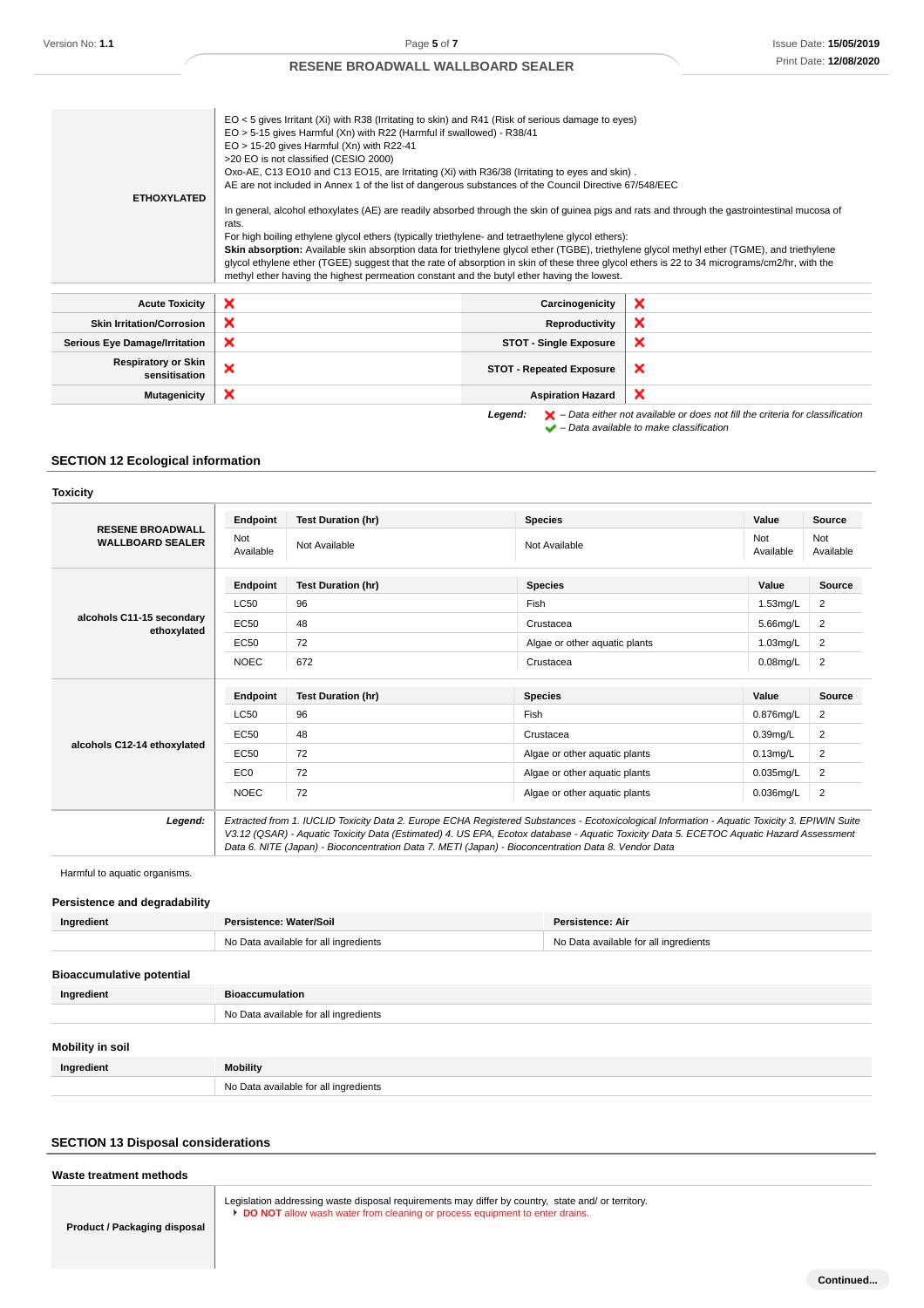| <b>ETHOXYLATED</b>                          | EO < 5 gives Irritant (Xi) with R38 (Irritating to skin) and R41 (Risk of serious damage to eyes)<br>EO > 5-15 gives Harmful (Xn) with R22 (Harmful if swallowed) - R38/41<br>$EO > 15-20$ gives Harmful (Xn) with R22-41<br>>20 EO is not classified (CESIO 2000)<br>Oxo-AE, C13 EO10 and C13 EO15, are Irritating (Xi) with R36/38 (Irritating to eyes and skin).<br>AE are not included in Annex 1 of the list of dangerous substances of the Council Directive 67/548/EEC<br>In general, alcohol ethoxylates (AE) are readily absorbed through the skin of guinea pigs and rats and through the gastrointestinal mucosa of<br>rats.<br>For high boiling ethylene glycol ethers (typically triethylene- and tetraethylene glycol ethers):<br>Skin absorption: Available skin absorption data for triethylene glycol ether (TGBE), triethylene glycol methyl ether (TGME), and triethylene<br>glycol ethylene ether (TGEE) suggest that the rate of absorption in skin of these three glycol ethers is 22 to 34 micrograms/cm2/hr, with the<br>methyl ether having the highest permeation constant and the butyl ether having the lowest. |                                 |                                                                                                                                                                     |
|---------------------------------------------|---------------------------------------------------------------------------------------------------------------------------------------------------------------------------------------------------------------------------------------------------------------------------------------------------------------------------------------------------------------------------------------------------------------------------------------------------------------------------------------------------------------------------------------------------------------------------------------------------------------------------------------------------------------------------------------------------------------------------------------------------------------------------------------------------------------------------------------------------------------------------------------------------------------------------------------------------------------------------------------------------------------------------------------------------------------------------------------------------------------------------------------------|---------------------------------|---------------------------------------------------------------------------------------------------------------------------------------------------------------------|
| <b>Acute Toxicity</b>                       | ×                                                                                                                                                                                                                                                                                                                                                                                                                                                                                                                                                                                                                                                                                                                                                                                                                                                                                                                                                                                                                                                                                                                                           | Carcinogenicity                 | ×                                                                                                                                                                   |
| <b>Skin Irritation/Corrosion</b>            | ×                                                                                                                                                                                                                                                                                                                                                                                                                                                                                                                                                                                                                                                                                                                                                                                                                                                                                                                                                                                                                                                                                                                                           | Reproductivity                  | ×                                                                                                                                                                   |
| <b>Serious Eye Damage/Irritation</b>        | ×                                                                                                                                                                                                                                                                                                                                                                                                                                                                                                                                                                                                                                                                                                                                                                                                                                                                                                                                                                                                                                                                                                                                           | <b>STOT - Single Exposure</b>   | ×                                                                                                                                                                   |
| <b>Respiratory or Skin</b><br>sensitisation | ×                                                                                                                                                                                                                                                                                                                                                                                                                                                                                                                                                                                                                                                                                                                                                                                                                                                                                                                                                                                                                                                                                                                                           | <b>STOT - Repeated Exposure</b> | ×                                                                                                                                                                   |
| <b>Mutagenicity</b>                         | ×                                                                                                                                                                                                                                                                                                                                                                                                                                                                                                                                                                                                                                                                                                                                                                                                                                                                                                                                                                                                                                                                                                                                           | <b>Aspiration Hazard</b>        | ×                                                                                                                                                                   |
|                                             |                                                                                                                                                                                                                                                                                                                                                                                                                                                                                                                                                                                                                                                                                                                                                                                                                                                                                                                                                                                                                                                                                                                                             | Legend:                         | $\blacktriangleright$ - Data either not available or does not fill the criteria for classification<br>$\blacktriangleright$ - Data available to make classification |

# **SECTION 12 Ecological information**

| <b>OXICIT</b> |  |
|---------------|--|
|               |  |

| <b>RESENE BROADWALL</b><br><b>WALLBOARD SEALER</b> | Endpoint         | <b>Test Duration (hr)</b>                                                                                                                                                                                                                                                                                                                                                                       | <b>Species</b>                | Value            | <b>Source</b>    |
|----------------------------------------------------|------------------|-------------------------------------------------------------------------------------------------------------------------------------------------------------------------------------------------------------------------------------------------------------------------------------------------------------------------------------------------------------------------------------------------|-------------------------------|------------------|------------------|
|                                                    | Not<br>Available | Not Available                                                                                                                                                                                                                                                                                                                                                                                   | Not Available                 | Not<br>Available | Not<br>Available |
|                                                    | Endpoint         | <b>Test Duration (hr)</b>                                                                                                                                                                                                                                                                                                                                                                       | <b>Species</b>                | Value            | Source           |
|                                                    | <b>LC50</b>      | 96                                                                                                                                                                                                                                                                                                                                                                                              | Fish                          | $1.53$ mg/L      | $\overline{2}$   |
| alcohols C11-15 secondary<br>ethoxylated           | EC50             | 48                                                                                                                                                                                                                                                                                                                                                                                              | Crustacea                     | $5.66$ mg/L      | 2                |
|                                                    | <b>EC50</b>      | 72                                                                                                                                                                                                                                                                                                                                                                                              | Algae or other aquatic plants | $1.03$ mg/L      | 2                |
|                                                    | <b>NOEC</b>      | 672                                                                                                                                                                                                                                                                                                                                                                                             | Crustacea                     | $0.08$ mg/L      | $\overline{2}$   |
|                                                    | Endpoint         | <b>Test Duration (hr)</b>                                                                                                                                                                                                                                                                                                                                                                       | <b>Species</b>                | Value            | Source           |
|                                                    | <b>LC50</b>      | 96                                                                                                                                                                                                                                                                                                                                                                                              | Fish                          | $0.876$ mg/L     | 2                |
| alcohols C12-14 ethoxylated                        | EC50             | 48                                                                                                                                                                                                                                                                                                                                                                                              | Crustacea                     | $0.39$ mg/L      | 2                |
|                                                    | <b>EC50</b>      | 72                                                                                                                                                                                                                                                                                                                                                                                              | Algae or other aquatic plants | $0.13$ mg/L      | 2                |
|                                                    | EC <sub>0</sub>  | 72                                                                                                                                                                                                                                                                                                                                                                                              | Algae or other aquatic plants | $0.035$ mg/L     | 2                |
|                                                    | <b>NOEC</b>      | 72                                                                                                                                                                                                                                                                                                                                                                                              | Algae or other aquatic plants | 0.036mg/L        | $\overline{2}$   |
| Legend:                                            |                  | Extracted from 1. IUCLID Toxicity Data 2. Europe ECHA Registered Substances - Ecotoxicological Information - Aquatic Toxicity 3. EPIWIN Suite<br>V3.12 (QSAR) - Aquatic Toxicity Data (Estimated) 4. US EPA, Ecotox database - Aquatic Toxicity Data 5. ECETOC Aquatic Hazard Assessment<br>Data 6. NITE (Japan) - Bioconcentration Data 7. METI (Japan) - Bioconcentration Data 8. Vendor Data |                               |                  |                  |

Harmful to aquatic organisms.

### **Persistence and degradability**

| Ingredient                       | Persistence: Water/Soil               | Persistence: Air                      |
|----------------------------------|---------------------------------------|---------------------------------------|
|                                  | No Data available for all ingredients | No Data available for all ingredients |
| <b>Bioaccumulative potential</b> |                                       |                                       |
| Ingredient                       | <b>Bioaccumulation</b>                |                                       |
|                                  | No Data available for all ingredients |                                       |
| Mobility in poil                 |                                       |                                       |

| Mobility in soil |                                       |
|------------------|---------------------------------------|
| Ingredient       | <b>Mobility</b>                       |
|                  | No Data available for all ingredients |

### **SECTION 13 Disposal considerations**

#### **Waste treatment methods**

Legislation addressing waste disposal requirements may differ by country, state and/ or territory. **DO NOT** allow wash water from cleaning or process equipment to enter drains.

**Product / Packaging disposal**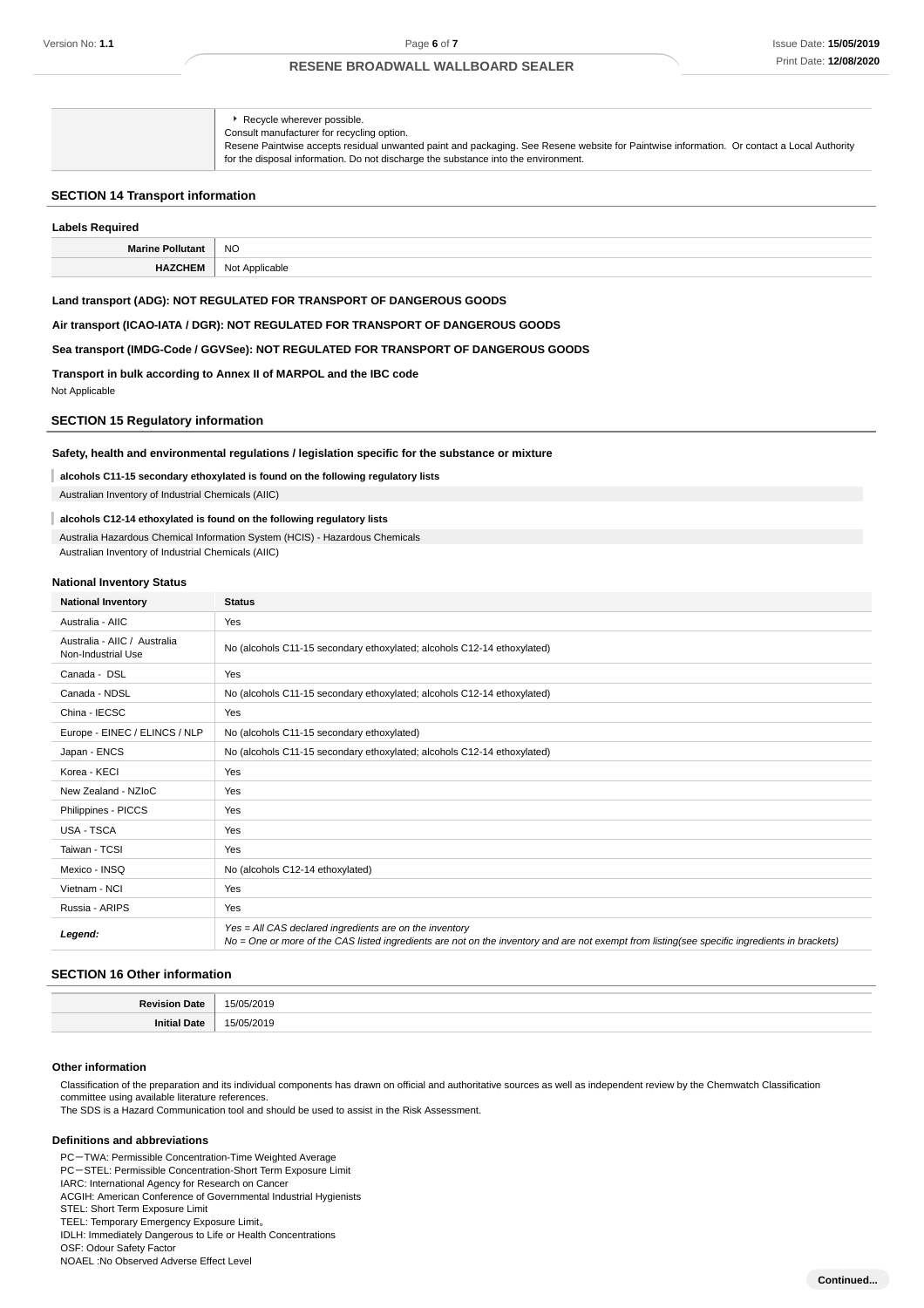| Recycle wherever possible.<br>Consult manufacturer for recycling option.<br>for the disposal information. Do not discharge the substance into the environment. | Resene Paintwise accepts residual unwanted paint and packaging. See Resene website for Paintwise information. Or contact a Local Authority |
|----------------------------------------------------------------------------------------------------------------------------------------------------------------|--------------------------------------------------------------------------------------------------------------------------------------------|
|----------------------------------------------------------------------------------------------------------------------------------------------------------------|--------------------------------------------------------------------------------------------------------------------------------------------|

### **SECTION 14 Transport information**

# **Labels Required Marine Pollutant** NO **HAZCHEM** Not Applicable

#### **Land transport (ADG): NOT REGULATED FOR TRANSPORT OF DANGEROUS GOODS**

**Air transport (ICAO-IATA / DGR): NOT REGULATED FOR TRANSPORT OF DANGEROUS GOODS**

### **Sea transport (IMDG-Code / GGVSee): NOT REGULATED FOR TRANSPORT OF DANGEROUS GOODS**

**Transport in bulk according to Annex II of MARPOL and the IBC code**

Not Applicable

### **SECTION 15 Regulatory information**

#### **Safety, health and environmental regulations / legislation specific for the substance or mixture**

#### **alcohols C11-15 secondary ethoxylated is found on the following regulatory lists**

Australian Inventory of Industrial Chemicals (AIIC)

#### **alcohols C12-14 ethoxylated is found on the following regulatory lists**

#### Australia Hazardous Chemical Information System (HCIS) - Hazardous Chemicals

Australian Inventory of Industrial Chemicals (AIIC)

#### **National Inventory Status**

| <b>National Inventory</b>                          | <b>Status</b>                                                                                                                                                                                            |
|----------------------------------------------------|----------------------------------------------------------------------------------------------------------------------------------------------------------------------------------------------------------|
| Australia - AIIC                                   | Yes                                                                                                                                                                                                      |
| Australia - AIIC / Australia<br>Non-Industrial Use | No (alcohols C11-15 secondary ethoxylated; alcohols C12-14 ethoxylated)                                                                                                                                  |
| Canada - DSL                                       | Yes                                                                                                                                                                                                      |
| Canada - NDSL                                      | No (alcohols C11-15 secondary ethoxylated; alcohols C12-14 ethoxylated)                                                                                                                                  |
| China - IECSC                                      | Yes                                                                                                                                                                                                      |
| Europe - EINEC / ELINCS / NLP                      | No (alcohols C11-15 secondary ethoxylated)                                                                                                                                                               |
| Japan - ENCS                                       | No (alcohols C11-15 secondary ethoxylated; alcohols C12-14 ethoxylated)                                                                                                                                  |
| Korea - KECI                                       | Yes                                                                                                                                                                                                      |
| New Zealand - NZIoC                                | Yes                                                                                                                                                                                                      |
| Philippines - PICCS                                | Yes                                                                                                                                                                                                      |
| USA - TSCA                                         | Yes                                                                                                                                                                                                      |
| Taiwan - TCSI                                      | Yes                                                                                                                                                                                                      |
| Mexico - INSQ                                      | No (alcohols C12-14 ethoxylated)                                                                                                                                                                         |
| Vietnam - NCI                                      | Yes                                                                                                                                                                                                      |
| Russia - ARIPS                                     | Yes                                                                                                                                                                                                      |
| Legend:                                            | Yes = All CAS declared ingredients are on the inventory<br>No = One or more of the CAS listed ingredients are not on the inventory and are not exempt from listing(see specific ingredients in brackets) |

### **SECTION 16 Other information**

| . . |  |
|-----|--|
|     |  |

### **Other information**

Classification of the preparation and its individual components has drawn on official and authoritative sources as well as independent review by the Chemwatch Classification committee using available literature references.

The SDS is a Hazard Communication tool and should be used to assist in the Risk Assessment.

#### **Definitions and abbreviations**

PC-TWA: Permissible Concentration-Time Weighted Average PC-STEL: Permissible Concentration-Short Term Exposure Limit

IARC: International Agency for Research on Cancer ACGIH: American Conference of Governmental Industrial Hygienists

STEL: Short Term Exposure Limit

TEEL: Temporary Emergency Exposure Limit。

IDLH: Immediately Dangerous to Life or Health Concentrations

OSF: Odour Safety Factor

NOAEL :No Observed Adverse Effect Level